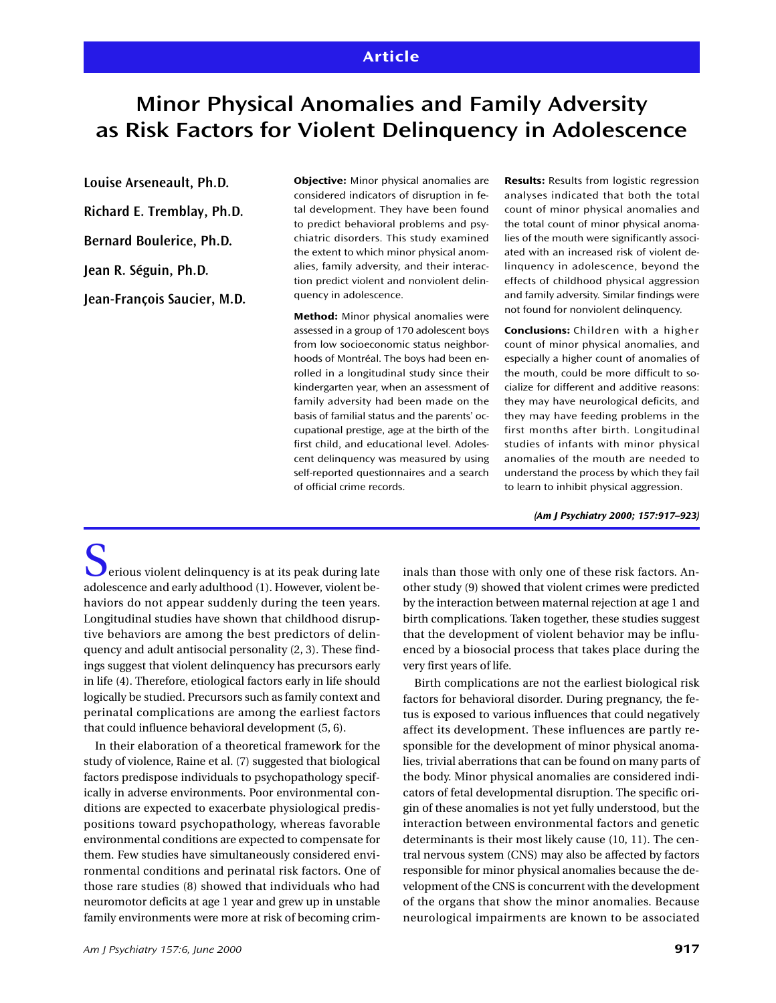## **Article**

# **Minor Physical Anomalies and Family Adversity as Risk Factors for Violent Delinquency in Adolescence**

**Louise Arseneault, Ph.D.**

**Richard E. Tremblay, Ph.D.**

**Bernard Boulerice, Ph.D.**

**Jean R. Séguin, Ph.D.**

**Jean-François Saucier, M.D.**

**Objective:** Minor physical anomalies are considered indicators of disruption in fetal development. They have been found to predict behavioral problems and psychiatric disorders. This study examined the extent to which minor physical anomalies, family adversity, and their interaction predict violent and nonviolent delinquency in adolescence.

**Method:** Minor physical anomalies were assessed in a group of 170 adolescent boys from low socioeconomic status neighborhoods of Montréal. The boys had been enrolled in a longitudinal study since their kindergarten year, when an assessment of family adversity had been made on the basis of familial status and the parents' occupational prestige, age at the birth of the first child, and educational level. Adolescent delinquency was measured by using self-reported questionnaires and a search of official crime records.

**Results:** Results from logistic regression analyses indicated that both the total count of minor physical anomalies and the total count of minor physical anomalies of the mouth were significantly associated with an increased risk of violent delinquency in adolescence, beyond the effects of childhood physical aggression and family adversity. Similar findings were not found for nonviolent delinquency.

**Conclusions:** Children with a higher count of minor physical anomalies, and especially a higher count of anomalies of the mouth, could be more difficult to socialize for different and additive reasons: they may have neurological deficits, and they may have feeding problems in the first months after birth. Longitudinal studies of infants with minor physical anomalies of the mouth are needed to understand the process by which they fail to learn to inhibit physical aggression.

*(Am J Psychiatry 2000; 157:917–923)*

 $\sum$  erious violent delinquency is at its peak during late adolescence and early adulthood (1). However, violent behaviors do not appear suddenly during the teen years. Longitudinal studies have shown that childhood disruptive behaviors are among the best predictors of delinquency and adult antisocial personality (2, 3). These findings suggest that violent delinquency has precursors early in life (4). Therefore, etiological factors early in life should logically be studied. Precursors such as family context and perinatal complications are among the earliest factors that could influence behavioral development (5, 6).

In their elaboration of a theoretical framework for the study of violence, Raine et al. (7) suggested that biological factors predispose individuals to psychopathology specifically in adverse environments. Poor environmental conditions are expected to exacerbate physiological predispositions toward psychopathology, whereas favorable environmental conditions are expected to compensate for them. Few studies have simultaneously considered environmental conditions and perinatal risk factors. One of those rare studies (8) showed that individuals who had neuromotor deficits at age 1 year and grew up in unstable family environments were more at risk of becoming crim-

*Am J Psychiatry 157:6, June 2000* **917**

inals than those with only one of these risk factors. Another study (9) showed that violent crimes were predicted by the interaction between maternal rejection at age 1 and birth complications. Taken together, these studies suggest that the development of violent behavior may be influenced by a biosocial process that takes place during the very first years of life.

Birth complications are not the earliest biological risk factors for behavioral disorder. During pregnancy, the fetus is exposed to various influences that could negatively affect its development. These influences are partly responsible for the development of minor physical anomalies, trivial aberrations that can be found on many parts of the body. Minor physical anomalies are considered indicators of fetal developmental disruption. The specific origin of these anomalies is not yet fully understood, but the interaction between environmental factors and genetic determinants is their most likely cause (10, 11). The central nervous system (CNS) may also be affected by factors responsible for minor physical anomalies because the development of the CNS is concurrent with the development of the organs that show the minor anomalies. Because neurological impairments are known to be associated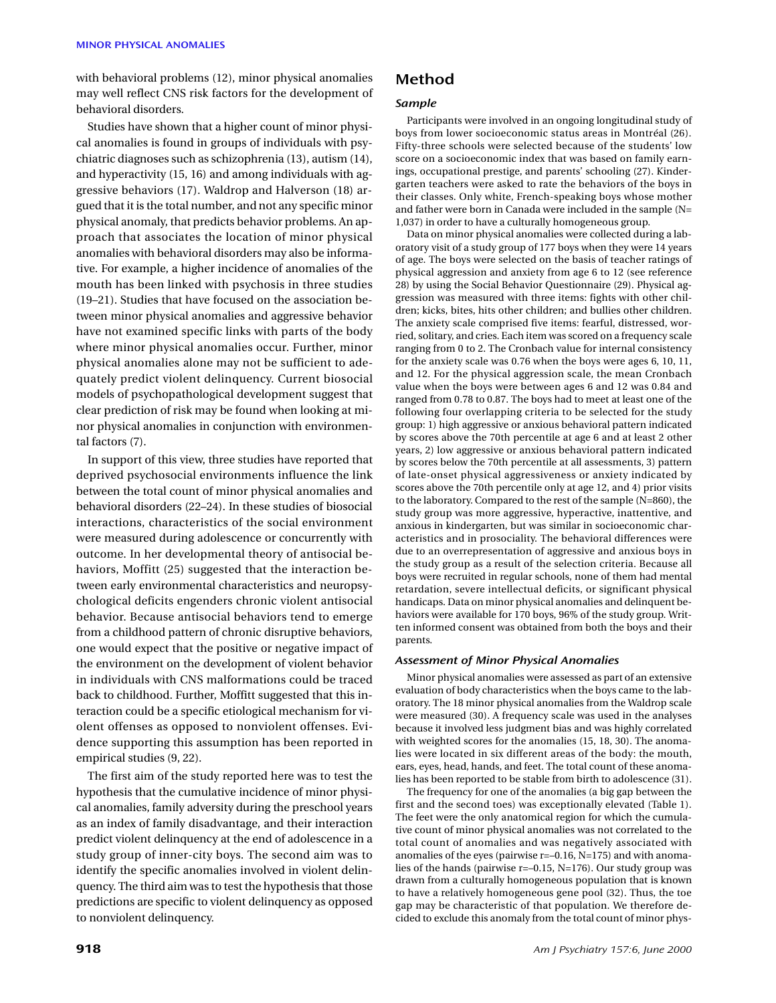with behavioral problems (12), minor physical anomalies may well reflect CNS risk factors for the development of behavioral disorders.

Studies have shown that a higher count of minor physical anomalies is found in groups of individuals with psychiatric diagnoses such as schizophrenia (13), autism (14), and hyperactivity (15, 16) and among individuals with aggressive behaviors (17). Waldrop and Halverson (18) argued that it is the total number, and not any specific minor physical anomaly, that predicts behavior problems. An approach that associates the location of minor physical anomalies with behavioral disorders may also be informative. For example, a higher incidence of anomalies of the mouth has been linked with psychosis in three studies (19–21). Studies that have focused on the association between minor physical anomalies and aggressive behavior have not examined specific links with parts of the body where minor physical anomalies occur. Further, minor physical anomalies alone may not be sufficient to adequately predict violent delinquency. Current biosocial models of psychopathological development suggest that clear prediction of risk may be found when looking at minor physical anomalies in conjunction with environmental factors (7).

In support of this view, three studies have reported that deprived psychosocial environments influence the link between the total count of minor physical anomalies and behavioral disorders (22–24). In these studies of biosocial interactions, characteristics of the social environment were measured during adolescence or concurrently with outcome. In her developmental theory of antisocial behaviors, Moffitt (25) suggested that the interaction between early environmental characteristics and neuropsychological deficits engenders chronic violent antisocial behavior. Because antisocial behaviors tend to emerge from a childhood pattern of chronic disruptive behaviors, one would expect that the positive or negative impact of the environment on the development of violent behavior in individuals with CNS malformations could be traced back to childhood. Further, Moffitt suggested that this interaction could be a specific etiological mechanism for violent offenses as opposed to nonviolent offenses. Evidence supporting this assumption has been reported in empirical studies (9, 22).

The first aim of the study reported here was to test the hypothesis that the cumulative incidence of minor physical anomalies, family adversity during the preschool years as an index of family disadvantage, and their interaction predict violent delinquency at the end of adolescence in a study group of inner-city boys. The second aim was to identify the specific anomalies involved in violent delinquency. The third aim was to test the hypothesis that those predictions are specific to violent delinquency as opposed to nonviolent delinquency.

## **Method**

## *Sample*

Participants were involved in an ongoing longitudinal study of boys from lower socioeconomic status areas in Montréal (26). Fifty-three schools were selected because of the students' low score on a socioeconomic index that was based on family earnings, occupational prestige, and parents' schooling (27). Kindergarten teachers were asked to rate the behaviors of the boys in their classes. Only white, French-speaking boys whose mother and father were born in Canada were included in the sample (N= 1,037) in order to have a culturally homogeneous group.

Data on minor physical anomalies were collected during a laboratory visit of a study group of 177 boys when they were 14 years of age. The boys were selected on the basis of teacher ratings of physical aggression and anxiety from age 6 to 12 (see reference 28) by using the Social Behavior Questionnaire (29). Physical aggression was measured with three items: fights with other children; kicks, bites, hits other children; and bullies other children. The anxiety scale comprised five items: fearful, distressed, worried, solitary, and cries. Each item was scored on a frequency scale ranging from 0 to 2. The Cronbach value for internal consistency for the anxiety scale was 0.76 when the boys were ages 6, 10, 11, and 12. For the physical aggression scale, the mean Cronbach value when the boys were between ages 6 and 12 was 0.84 and ranged from 0.78 to 0.87. The boys had to meet at least one of the following four overlapping criteria to be selected for the study group: 1) high aggressive or anxious behavioral pattern indicated by scores above the 70th percentile at age 6 and at least 2 other years, 2) low aggressive or anxious behavioral pattern indicated by scores below the 70th percentile at all assessments, 3) pattern of late-onset physical aggressiveness or anxiety indicated by scores above the 70th percentile only at age 12, and 4) prior visits to the laboratory. Compared to the rest of the sample (N=860), the study group was more aggressive, hyperactive, inattentive, and anxious in kindergarten, but was similar in socioeconomic characteristics and in prosociality. The behavioral differences were due to an overrepresentation of aggressive and anxious boys in the study group as a result of the selection criteria. Because all boys were recruited in regular schools, none of them had mental retardation, severe intellectual deficits, or significant physical handicaps. Data on minor physical anomalies and delinquent behaviors were available for 170 boys, 96% of the study group. Written informed consent was obtained from both the boys and their parents.

#### *Assessment of Minor Physical Anomalies*

Minor physical anomalies were assessed as part of an extensive evaluation of body characteristics when the boys came to the laboratory. The 18 minor physical anomalies from the Waldrop scale were measured (30). A frequency scale was used in the analyses because it involved less judgment bias and was highly correlated with weighted scores for the anomalies (15, 18, 30). The anomalies were located in six different areas of the body: the mouth, ears, eyes, head, hands, and feet. The total count of these anomalies has been reported to be stable from birth to adolescence (31).

The frequency for one of the anomalies (a big gap between the first and the second toes) was exceptionally elevated (Table 1). The feet were the only anatomical region for which the cumulative count of minor physical anomalies was not correlated to the total count of anomalies and was negatively associated with anomalies of the eyes (pairwise r=–0.16, N=175) and with anomalies of the hands (pairwise r=–0.15, N=176). Our study group was drawn from a culturally homogeneous population that is known to have a relatively homogeneous gene pool (32). Thus, the toe gap may be characteristic of that population. We therefore decided to exclude this anomaly from the total count of minor phys-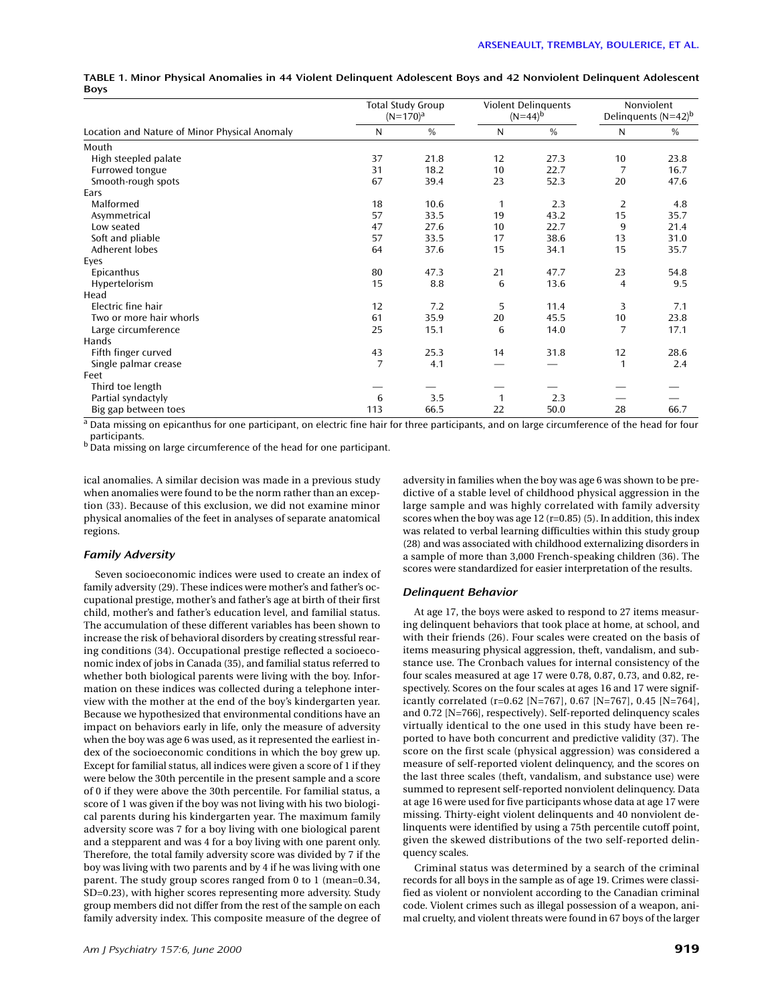|                                               | <b>Total Study Group</b><br>$(N=170)^a$ |               | <b>Violent Delinguents</b><br>$(N=44)^{b}$ |               | Nonviolent<br>Delinquents $(N=42)^b$ |      |
|-----------------------------------------------|-----------------------------------------|---------------|--------------------------------------------|---------------|--------------------------------------|------|
| Location and Nature of Minor Physical Anomaly | N                                       | $\frac{0}{0}$ | N                                          | $\frac{0}{0}$ | N                                    | $\%$ |
| Mouth                                         |                                         |               |                                            |               |                                      |      |
| High steepled palate                          | 37                                      | 21.8          | 12                                         | 27.3          | 10                                   | 23.8 |
| Furrowed tongue                               | 31                                      | 18.2          | 10                                         | 22.7          | $\overline{7}$                       | 16.7 |
| Smooth-rough spots                            | 67                                      | 39.4          | 23                                         | 52.3          | 20                                   | 47.6 |
| Ears                                          |                                         |               |                                            |               |                                      |      |
| Malformed                                     | 18                                      | 10.6          | 1                                          | 2.3           | 2                                    | 4.8  |
| Asymmetrical                                  | 57                                      | 33.5          | 19                                         | 43.2          | 15                                   | 35.7 |
| Low seated                                    | 47                                      | 27.6          | 10                                         | 22.7          | 9                                    | 21.4 |
| Soft and pliable                              | 57                                      | 33.5          | 17                                         | 38.6          | 13                                   | 31.0 |
| Adherent lobes                                | 64                                      | 37.6          | 15                                         | 34.1          | 15                                   | 35.7 |
| Eyes                                          |                                         |               |                                            |               |                                      |      |
| Epicanthus                                    | 80                                      | 47.3          | 21                                         | 47.7          | 23                                   | 54.8 |
| Hypertelorism                                 | 15                                      | 8.8           | 6                                          | 13.6          | 4                                    | 9.5  |
| Head                                          |                                         |               |                                            |               |                                      |      |
| Electric fine hair                            | 12                                      | 7.2           | 5                                          | 11.4          | 3                                    | 7.1  |
| Two or more hair whorls                       | 61                                      | 35.9          | 20                                         | 45.5          | 10                                   | 23.8 |
| Large circumference                           | 25                                      | 15.1          | 6                                          | 14.0          | 7                                    | 17.1 |
| Hands                                         |                                         |               |                                            |               |                                      |      |
| Fifth finger curved                           | 43                                      | 25.3          | 14                                         | 31.8          | 12                                   | 28.6 |
| Single palmar crease                          | $\overline{7}$                          | 4.1           |                                            |               | $\mathbf{1}$                         | 2.4  |
| Feet                                          |                                         |               |                                            |               |                                      |      |
| Third toe length                              |                                         |               |                                            |               |                                      |      |
| Partial syndactyly                            | 6                                       | 3.5           | $\mathbf{1}$                               | 2.3           |                                      |      |
| Big gap between toes                          | 113                                     | 66.5          | 22                                         | 50.0          | 28                                   | 66.7 |

**TABLE 1. Minor Physical Anomalies in 44 Violent Delinquent Adolescent Boys and 42 Nonviolent Delinquent Adolescent Boys**

<sup>a</sup> Data missing on epicanthus for one participant, on electric fine hair for three participants, and on large circumference of the head for four participants.

<sup>b</sup> Data missing on large circumference of the head for one participant.

ical anomalies. A similar decision was made in a previous study when anomalies were found to be the norm rather than an exception (33). Because of this exclusion, we did not examine minor physical anomalies of the feet in analyses of separate anatomical regions.

#### *Family Adversity*

Seven socioeconomic indices were used to create an index of family adversity (29). These indices were mother's and father's occupational prestige, mother's and father's age at birth of their first child, mother's and father's education level, and familial status. The accumulation of these different variables has been shown to increase the risk of behavioral disorders by creating stressful rearing conditions (34). Occupational prestige reflected a socioeconomic index of jobs in Canada (35), and familial status referred to whether both biological parents were living with the boy. Information on these indices was collected during a telephone interview with the mother at the end of the boy's kindergarten year. Because we hypothesized that environmental conditions have an impact on behaviors early in life, only the measure of adversity when the boy was age 6 was used, as it represented the earliest index of the socioeconomic conditions in which the boy grew up. Except for familial status, all indices were given a score of 1 if they were below the 30th percentile in the present sample and a score of 0 if they were above the 30th percentile. For familial status, a score of 1 was given if the boy was not living with his two biological parents during his kindergarten year. The maximum family adversity score was 7 for a boy living with one biological parent and a stepparent and was 4 for a boy living with one parent only. Therefore, the total family adversity score was divided by 7 if the boy was living with two parents and by 4 if he was living with one parent. The study group scores ranged from 0 to 1 (mean=0.34, SD=0.23), with higher scores representing more adversity. Study group members did not differ from the rest of the sample on each family adversity index. This composite measure of the degree of

adversity in families when the boy was age 6 was shown to be predictive of a stable level of childhood physical aggression in the large sample and was highly correlated with family adversity scores when the boy was age  $12$  (r=0.85) (5). In addition, this index was related to verbal learning difficulties within this study group (28) and was associated with childhood externalizing disorders in a sample of more than 3,000 French-speaking children (36). The scores were standardized for easier interpretation of the results.

#### *Delinquent Behavior*

At age 17, the boys were asked to respond to 27 items measuring delinquent behaviors that took place at home, at school, and with their friends (26). Four scales were created on the basis of items measuring physical aggression, theft, vandalism, and substance use. The Cronbach values for internal consistency of the four scales measured at age 17 were 0.78, 0.87, 0.73, and 0.82, respectively. Scores on the four scales at ages 16 and 17 were significantly correlated (r=0.62 [N=767], 0.67 [N=767], 0.45 [N=764], and 0.72 [N=766], respectively). Self-reported delinquency scales virtually identical to the one used in this study have been reported to have both concurrent and predictive validity (37). The score on the first scale (physical aggression) was considered a measure of self-reported violent delinquency, and the scores on the last three scales (theft, vandalism, and substance use) were summed to represent self-reported nonviolent delinquency. Data at age 16 were used for five participants whose data at age 17 were missing. Thirty-eight violent delinquents and 40 nonviolent delinquents were identified by using a 75th percentile cutoff point, given the skewed distributions of the two self-reported delinquency scales.

Criminal status was determined by a search of the criminal records for all boys in the sample as of age 19. Crimes were classified as violent or nonviolent according to the Canadian criminal code. Violent crimes such as illegal possession of a weapon, animal cruelty, and violent threats were found in 67 boys of the larger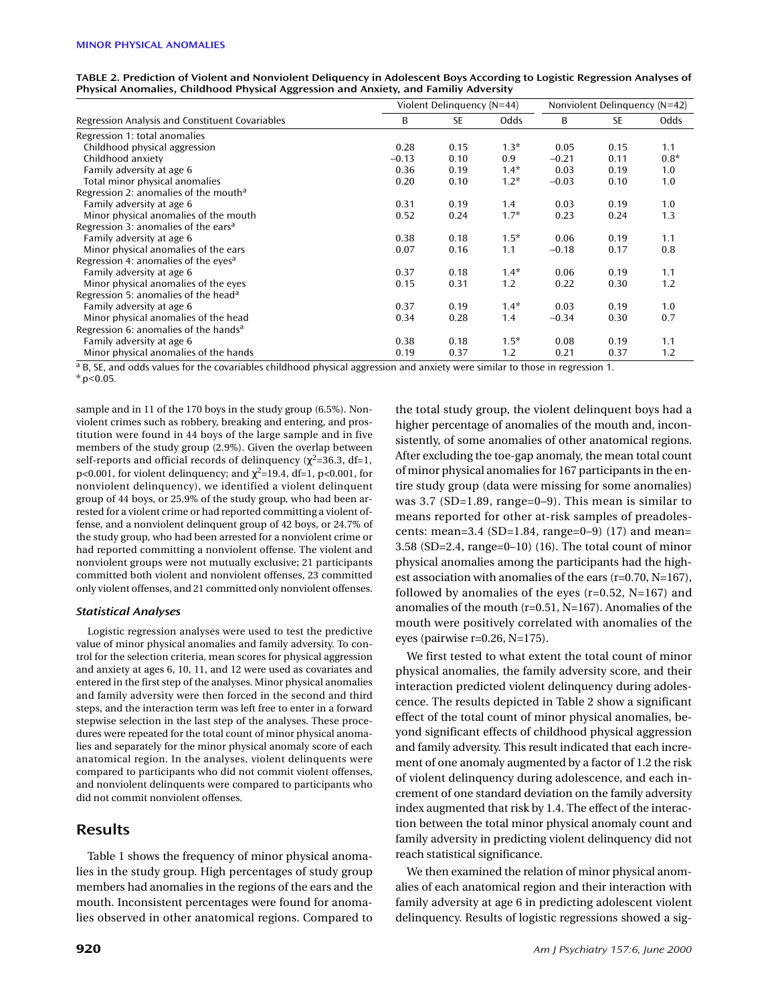|  |                                                                                      |  | TABLE 2. Prediction of Violent and Nonviolent Deliquency in Adolescent Boys According to Logistic Regression Analyses of |  |
|--|--------------------------------------------------------------------------------------|--|--------------------------------------------------------------------------------------------------------------------------|--|
|  | Physical Anomalies, Childhood Physical Aggression and Anxiety, and Familiy Adversity |  |                                                                                                                          |  |

|                                                   | Violent Delinguency (N=44) | Nonviolent Delinguency (N=42) |        |         |           |        |
|---------------------------------------------------|----------------------------|-------------------------------|--------|---------|-----------|--------|
| Regression Analysis and Constituent Covariables   | B                          | <b>SE</b>                     | Odds   | B       | <b>SE</b> | Odds   |
| Regression 1: total anomalies                     |                            |                               |        |         |           |        |
| Childhood physical aggression                     | 0.28                       | 0.15                          | $1.3*$ | 0.05    | 0.15      | 1.1    |
| Childhood anxiety                                 | $-0.13$                    | 0.10                          | 0.9    | $-0.21$ | 0.11      | $0.8*$ |
| Family adversity at age 6                         | 0.36                       | 0.19                          | $1.4*$ | 0.03    | 0.19      | 1.0    |
| Total minor physical anomalies                    | 0.20                       | 0.10                          | $1.2*$ | $-0.03$ | 0.10      | 1.0    |
| Regression 2: anomalies of the mouth <sup>a</sup> |                            |                               |        |         |           |        |
| Family adversity at age 6                         | 0.31                       | 0.19                          | 1.4    | 0.03    | 0.19      | 1.0    |
| Minor physical anomalies of the mouth             | 0.52                       | 0.24                          | $1.7*$ | 0.23    | 0.24      | 1.3    |
| Regression 3: anomalies of the ears <sup>a</sup>  |                            |                               |        |         |           |        |
| Family adversity at age 6                         | 0.38                       | 0.18                          | $1.5*$ | 0.06    | 0.19      | 1.1    |
| Minor physical anomalies of the ears              | 0.07                       | 0.16                          | 1.1    | $-0.18$ | 0.17      | 0.8    |
| Regression 4: anomalies of the eyes <sup>a</sup>  |                            |                               |        |         |           |        |
| Family adversity at age 6                         | 0.37                       | 0.18                          | $1.4*$ | 0.06    | 0.19      | 1.1    |
| Minor physical anomalies of the eyes              | 0.15                       | 0.31                          | 1.2    | 0.22    | 0.30      | 1.2    |
| Regression 5: anomalies of the head <sup>a</sup>  |                            |                               |        |         |           |        |
| Family adversity at age 6                         | 0.37                       | 0.19                          | $1.4*$ | 0.03    | 0.19      | 1.0    |
| Minor physical anomalies of the head              | 0.34                       | 0.28                          | 1.4    | $-0.34$ | 0.30      | 0.7    |
| Regression 6: anomalies of the hands <sup>a</sup> |                            |                               |        |         |           |        |
| Family adversity at age 6                         | 0.38                       | 0.18                          | $1.5*$ | 0.08    | 0.19      | 1.1    |
| Minor physical anomalies of the hands             | 0.19                       | 0.37                          | 1.2    | 0.21    | 0.37      | 1.2    |

<sup>a</sup> B, SE, and odds values for the covariables childhood physical aggression and anxiety were similar to those in regression 1.

sample and in 11 of the 170 boys in the study group (6.5%). Nonviolent crimes such as robbery, breaking and entering, and prostitution were found in 44 boys of the large sample and in five members of the study group (2.9%). Given the overlap between self-reports and official records of delinquency ( $\chi^2$ =36.3, df=1, p<0.001, for violent delinquency; and  $\chi^2$ =19.4, df=1, p<0.001, for nonviolent delinquency), we identified a violent delinquent group of 44 boys, or 25.9% of the study group, who had been arrested for a violent crime or had reported committing a violent offense, and a nonviolent delinquent group of 42 boys, or 24.7% of the study group, who had been arrested for a nonviolent crime or had reported committing a nonviolent offense. The violent and nonviolent groups were not mutually exclusive; 21 participants committed both violent and nonviolent offenses, 23 committed only violent offenses, and 21 committed only nonviolent offenses.

### *Statistical Analyses*

Logistic regression analyses were used to test the predictive value of minor physical anomalies and family adversity. To control for the selection criteria, mean scores for physical aggression and anxiety at ages 6, 10, 11, and 12 were used as covariates and entered in the first step of the analyses. Minor physical anomalies and family adversity were then forced in the second and third steps, and the interaction term was left free to enter in a forward stepwise selection in the last step of the analyses. These procedures were repeated for the total count of minor physical anomalies and separately for the minor physical anomaly score of each anatomical region. In the analyses, violent delinquents were compared to participants who did not commit violent offenses, and nonviolent delinquents were compared to participants who did not commit nonviolent offenses.

## **Results**

Table 1 shows the frequency of minor physical anomalies in the study group. High percentages of study group members had anomalies in the regions of the ears and the mouth. Inconsistent percentages were found for anomalies observed in other anatomical regions. Compared to

the total study group, the violent delinquent boys had a higher percentage of anomalies of the mouth and, inconsistently, of some anomalies of other anatomical regions. After excluding the toe-gap anomaly, the mean total count of minor physical anomalies for 167 participants in the entire study group (data were missing for some anomalies) was 3.7 (SD=1.89, range=0–9). This mean is similar to means reported for other at-risk samples of preadolescents: mean=3.4 (SD=1.84, range=0–9) (17) and mean= 3.58 (SD=2.4, range=0–10) (16). The total count of minor physical anomalies among the participants had the highest association with anomalies of the ears (r=0.70, N=167), followed by anomalies of the eyes (r=0.52, N=167) and anomalies of the mouth (r=0.51, N=167). Anomalies of the mouth were positively correlated with anomalies of the eyes (pairwise r=0.26, N=175).

We first tested to what extent the total count of minor physical anomalies, the family adversity score, and their interaction predicted violent delinquency during adolescence. The results depicted in Table 2 show a significant effect of the total count of minor physical anomalies, beyond significant effects of childhood physical aggression and family adversity. This result indicated that each increment of one anomaly augmented by a factor of 1.2 the risk of violent delinquency during adolescence, and each increment of one standard deviation on the family adversity index augmented that risk by 1.4. The effect of the interaction between the total minor physical anomaly count and family adversity in predicting violent delinquency did not reach statistical significance.

We then examined the relation of minor physical anomalies of each anatomical region and their interaction with family adversity at age 6 in predicting adolescent violent delinquency. Results of logistic regressions showed a sig-

 $*$  p<0.05.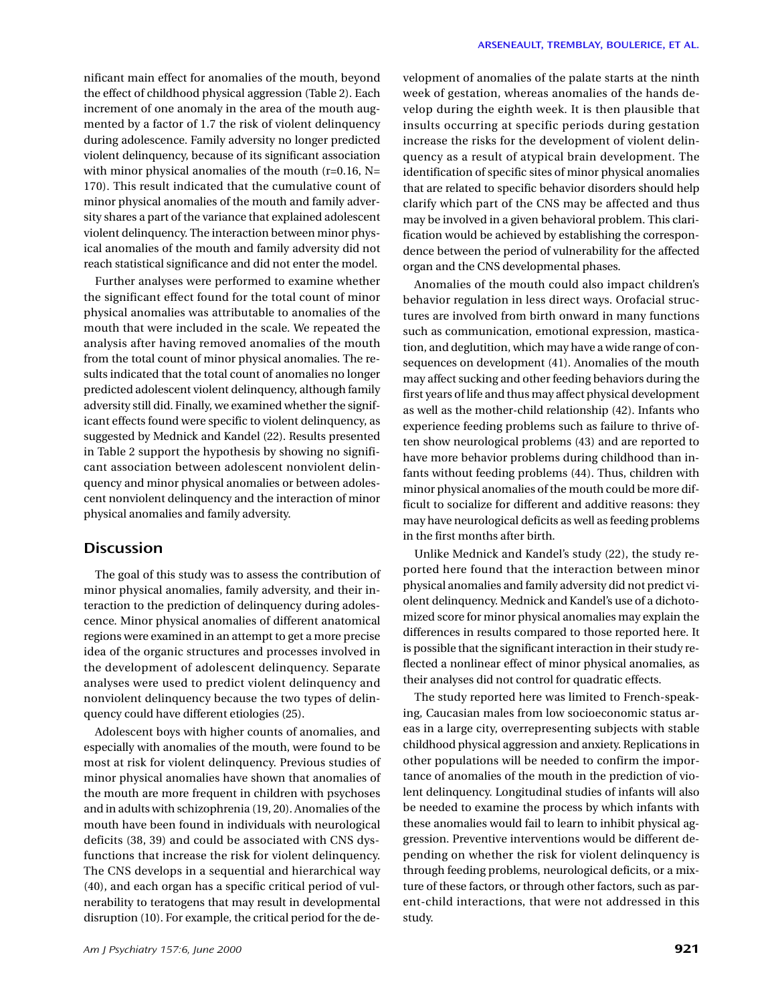nificant main effect for anomalies of the mouth, beyond the effect of childhood physical aggression (Table 2). Each increment of one anomaly in the area of the mouth augmented by a factor of 1.7 the risk of violent delinquency during adolescence. Family adversity no longer predicted violent delinquency, because of its significant association with minor physical anomalies of the mouth  $(r=0.16, N=$ 170). This result indicated that the cumulative count of minor physical anomalies of the mouth and family adversity shares a part of the variance that explained adolescent violent delinquency. The interaction between minor physical anomalies of the mouth and family adversity did not reach statistical significance and did not enter the model.

Further analyses were performed to examine whether the significant effect found for the total count of minor physical anomalies was attributable to anomalies of the mouth that were included in the scale. We repeated the analysis after having removed anomalies of the mouth from the total count of minor physical anomalies. The results indicated that the total count of anomalies no longer predicted adolescent violent delinquency, although family adversity still did. Finally, we examined whether the significant effects found were specific to violent delinquency, as suggested by Mednick and Kandel (22). Results presented in Table 2 support the hypothesis by showing no significant association between adolescent nonviolent delinquency and minor physical anomalies or between adolescent nonviolent delinquency and the interaction of minor physical anomalies and family adversity.

# **Discussion**

The goal of this study was to assess the contribution of minor physical anomalies, family adversity, and their interaction to the prediction of delinquency during adolescence. Minor physical anomalies of different anatomical regions were examined in an attempt to get a more precise idea of the organic structures and processes involved in the development of adolescent delinquency. Separate analyses were used to predict violent delinquency and nonviolent delinquency because the two types of delinquency could have different etiologies (25).

Adolescent boys with higher counts of anomalies, and especially with anomalies of the mouth, were found to be most at risk for violent delinquency. Previous studies of minor physical anomalies have shown that anomalies of the mouth are more frequent in children with psychoses and in adults with schizophrenia (19, 20). Anomalies of the mouth have been found in individuals with neurological deficits (38, 39) and could be associated with CNS dysfunctions that increase the risk for violent delinquency. The CNS develops in a sequential and hierarchical way (40), and each organ has a specific critical period of vulnerability to teratogens that may result in developmental disruption (10). For example, the critical period for the development of anomalies of the palate starts at the ninth week of gestation, whereas anomalies of the hands develop during the eighth week. It is then plausible that insults occurring at specific periods during gestation increase the risks for the development of violent delinquency as a result of atypical brain development. The identification of specific sites of minor physical anomalies that are related to specific behavior disorders should help clarify which part of the CNS may be affected and thus may be involved in a given behavioral problem. This clarification would be achieved by establishing the correspondence between the period of vulnerability for the affected organ and the CNS developmental phases.

Anomalies of the mouth could also impact children's behavior regulation in less direct ways. Orofacial structures are involved from birth onward in many functions such as communication, emotional expression, mastication, and deglutition, which may have a wide range of consequences on development (41). Anomalies of the mouth may affect sucking and other feeding behaviors during the first years of life and thus may affect physical development as well as the mother-child relationship (42). Infants who experience feeding problems such as failure to thrive often show neurological problems (43) and are reported to have more behavior problems during childhood than infants without feeding problems (44). Thus, children with minor physical anomalies of the mouth could be more difficult to socialize for different and additive reasons: they may have neurological deficits as well as feeding problems in the first months after birth.

Unlike Mednick and Kandel's study (22), the study reported here found that the interaction between minor physical anomalies and family adversity did not predict violent delinquency. Mednick and Kandel's use of a dichotomized score for minor physical anomalies may explain the differences in results compared to those reported here. It is possible that the significant interaction in their study reflected a nonlinear effect of minor physical anomalies, as their analyses did not control for quadratic effects.

The study reported here was limited to French-speaking, Caucasian males from low socioeconomic status areas in a large city, overrepresenting subjects with stable childhood physical aggression and anxiety. Replications in other populations will be needed to confirm the importance of anomalies of the mouth in the prediction of violent delinquency. Longitudinal studies of infants will also be needed to examine the process by which infants with these anomalies would fail to learn to inhibit physical aggression. Preventive interventions would be different depending on whether the risk for violent delinquency is through feeding problems, neurological deficits, or a mixture of these factors, or through other factors, such as parent-child interactions, that were not addressed in this study.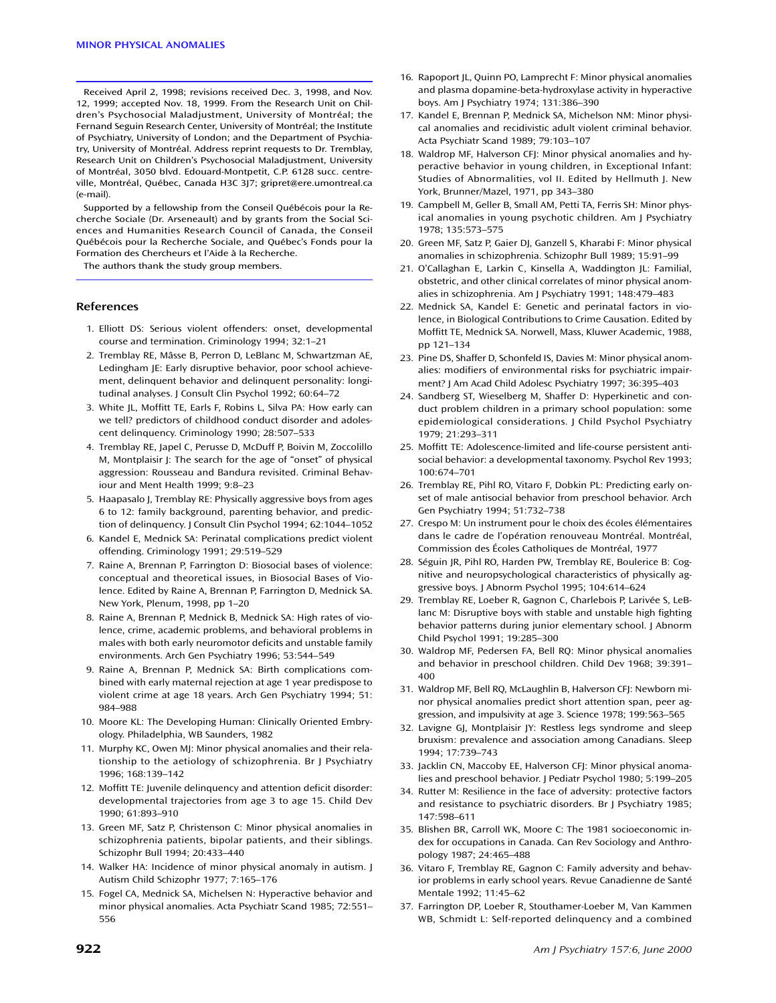Received April 2, 1998; revisions received Dec. 3, 1998, and Nov. 12, 1999; accepted Nov. 18, 1999. From the Research Unit on Children's Psychosocial Maladjustment, University of Montréal; the Fernand Seguin Research Center, University of Montréal; the Institute of Psychiatry, University of London; and the Department of Psychiatry, University of Montréal. Address reprint requests to Dr. Tremblay, Research Unit on Children's Psychosocial Maladjustment, University of Montréal, 3050 blvd. Edouard-Montpetit, C.P. 6128 succ. centreville, Montréal, Québec, Canada H3C 3J7; gripret@ere.umontreal.ca (e-mail).

Supported by a fellowship from the Conseil Québécois pour la Recherche Sociale (Dr. Arseneault) and by grants from the Social Sciences and Humanities Research Council of Canada, the Conseil Québécois pour la Recherche Sociale, and Québec's Fonds pour la Formation des Chercheurs et l'Aide à la Recherche.

The authors thank the study group members.

#### **References**

- 1. Elliott DS: Serious violent offenders: onset, developmental course and termination. Criminology 1994; 32:1–21
- 2. Tremblay RE, Mâsse B, Perron D, LeBlanc M, Schwartzman AE, Ledingham JE: Early disruptive behavior, poor school achievement, delinquent behavior and delinquent personality: longitudinal analyses. J Consult Clin Psychol 1992; 60:64–72
- 3. White JL, Moffitt TE, Earls F, Robins L, Silva PA: How early can we tell? predictors of childhood conduct disorder and adolescent delinquency. Criminology 1990; 28:507–533
- 4. Tremblay RE, Japel C, Perusse D, McDuff P, Boivin M, Zoccolillo M, Montplaisir J: The search for the age of "onset" of physical aggression: Rousseau and Bandura revisited. Criminal Behaviour and Ment Health 1999; 9:8–23
- 5. Haapasalo J, Tremblay RE: Physically aggressive boys from ages 6 to 12: family background, parenting behavior, and prediction of delinquency. J Consult Clin Psychol 1994; 62:1044–1052
- 6. Kandel E, Mednick SA: Perinatal complications predict violent offending. Criminology 1991; 29:519–529
- 7. Raine A, Brennan P, Farrington D: Biosocial bases of violence: conceptual and theoretical issues, in Biosocial Bases of Violence. Edited by Raine A, Brennan P, Farrington D, Mednick SA. New York, Plenum, 1998, pp 1–20
- 8. Raine A, Brennan P, Mednick B, Mednick SA: High rates of violence, crime, academic problems, and behavioral problems in males with both early neuromotor deficits and unstable family environments. Arch Gen Psychiatry 1996; 53:544–549
- 9. Raine A, Brennan P, Mednick SA: Birth complications combined with early maternal rejection at age 1 year predispose to violent crime at age 18 years. Arch Gen Psychiatry 1994; 51: 984–988
- 10. Moore KL: The Developing Human: Clinically Oriented Embryology. Philadelphia, WB Saunders, 1982
- 11. Murphy KC, Owen MJ: Minor physical anomalies and their relationship to the aetiology of schizophrenia. Br J Psychiatry 1996; 168:139–142
- 12. Moffitt TE: Juvenile delinquency and attention deficit disorder: developmental trajectories from age 3 to age 15. Child Dev 1990; 61:893–910
- 13. Green MF, Satz P, Christenson C: Minor physical anomalies in schizophrenia patients, bipolar patients, and their siblings. Schizophr Bull 1994; 20:433–440
- 14. Walker HA: Incidence of minor physical anomaly in autism. J Autism Child Schizophr 1977; 7:165–176
- 15. Fogel CA, Mednick SA, Michelsen N: Hyperactive behavior and minor physical anomalies. Acta Psychiatr Scand 1985; 72:551– 556
- 16. Rapoport JL, Quinn PO, Lamprecht F: Minor physical anomalies and plasma dopamine-beta-hydroxylase activity in hyperactive boys. Am J Psychiatry 1974; 131:386–390
- 17. Kandel E, Brennan P, Mednick SA, Michelson NM: Minor physical anomalies and recidivistic adult violent criminal behavior. Acta Psychiatr Scand 1989; 79:103–107
- 18. Waldrop MF, Halverson CFJ: Minor physical anomalies and hyperactive behavior in young children, in Exceptional Infant: Studies of Abnormalities, vol II. Edited by Hellmuth J. New York, Brunner/Mazel, 1971, pp 343–380
- 19. Campbell M, Geller B, Small AM, Petti TA, Ferris SH: Minor physical anomalies in young psychotic children. Am J Psychiatry 1978; 135:573–575
- 20. Green MF, Satz P, Gaier DJ, Ganzell S, Kharabi F: Minor physical anomalies in schizophrenia. Schizophr Bull 1989; 15:91–99
- 21. O'Callaghan E, Larkin C, Kinsella A, Waddington JL: Familial, obstetric, and other clinical correlates of minor physical anomalies in schizophrenia. Am J Psychiatry 1991; 148:479–483
- 22. Mednick SA, Kandel E: Genetic and perinatal factors in violence, in Biological Contributions to Crime Causation. Edited by Moffitt TE, Mednick SA. Norwell, Mass, Kluwer Academic, 1988, pp 121–134
- 23. Pine DS, Shaffer D, Schonfeld IS, Davies M: Minor physical anomalies: modifiers of environmental risks for psychiatric impairment? J Am Acad Child Adolesc Psychiatry 1997; 36:395–403
- 24. Sandberg ST, Wieselberg M, Shaffer D: Hyperkinetic and conduct problem children in a primary school population: some epidemiological considerations. J Child Psychol Psychiatry 1979; 21:293–311
- 25. Moffitt TE: Adolescence-limited and life-course persistent antisocial behavior: a developmental taxonomy. Psychol Rev 1993; 100:674–701
- 26. Tremblay RE, Pihl RO, Vitaro F, Dobkin PL: Predicting early onset of male antisocial behavior from preschool behavior. Arch Gen Psychiatry 1994; 51:732–738
- 27. Crespo M: Un instrument pour le choix des écoles élémentaires dans le cadre de l'opération renouveau Montréal. Montréal, Commission des Écoles Catholiques de Montréal, 1977
- 28. Séguin JR, Pihl RO, Harden PW, Tremblay RE, Boulerice B: Cognitive and neuropsychological characteristics of physically aggressive boys. J Abnorm Psychol 1995; 104:614–624
- 29. Tremblay RE, Loeber R, Gagnon C, Charlebois P, Larivée S, LeBlanc M: Disruptive boys with stable and unstable high fighting behavior patterns during junior elementary school. J Abnorm Child Psychol 1991; 19:285–300
- 30. Waldrop MF, Pedersen FA, Bell RQ: Minor physical anomalies and behavior in preschool children. Child Dev 1968; 39:391– 400
- 31. Waldrop MF, Bell RQ, McLaughlin B, Halverson CFJ: Newborn minor physical anomalies predict short attention span, peer aggression, and impulsivity at age 3. Science 1978; 199:563–565
- 32. Lavigne GJ, Montplaisir JY: Restless legs syndrome and sleep bruxism: prevalence and association among Canadians. Sleep 1994; 17:739–743
- 33. Jacklin CN, Maccoby EE, Halverson CFJ: Minor physical anomalies and preschool behavior. J Pediatr Psychol 1980; 5:199–205
- 34. Rutter M: Resilience in the face of adversity: protective factors and resistance to psychiatric disorders. Br J Psychiatry 1985; 147:598–611
- 35. Blishen BR, Carroll WK, Moore C: The 1981 socioeconomic index for occupations in Canada. Can Rev Sociology and Anthropology 1987; 24:465–488
- 36. Vitaro F, Tremblay RE, Gagnon C: Family adversity and behavior problems in early school years. Revue Canadienne de Santé Mentale 1992; 11:45–62
- 37. Farrington DP, Loeber R, Stouthamer-Loeber M, Van Kammen WB, Schmidt L: Self-reported delinquency and a combined